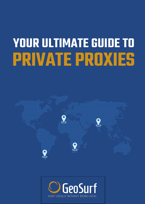# **PRIVATE PROXIES YOUR ULTIMATE GUIDE TO**



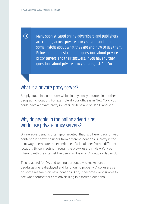$\bigodot$ 

Many sophisticated online advertisers and publishers are coming across private proxy servers and need some insight about what they are and how to use them. Below are the most common questions about private proxy servers and their answers. If you have further questions about private proxy servers, ask GeoSurf!

## What is a private proxy server?

Simply put, it is a computer which is physically situated in another geographic location. For example, if your office is in New York, you could have a private proxy in Brazil or Australia or San Francisco.

#### Why do people in the online advertising world use private proxy servers?

Online advertising is often geo-targeted, that is, different ads or web content are shown to users from different locations. A proxy is the best way to emulate the experience of a local user from a different location. By connecting through the proxy, users in New York can interact with the internet like users in Spain or Chicago or Japan do.

This is useful for QA and testing purposes –to make sure all geo-targeting is displayed and functioning properly. Also, users can do some research on new locations. And, it becomes very simple to see what competitors are advertising in different locations.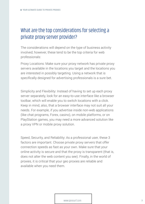# What are the top considerations for selecting a private proxy server provider?

The considerations will depend on the type of business activity involved; however, these tend to be the top criteria for web professionals:

Proxy Locations: Make sure your proxy network has private proxy servers available in the locations you target and the locations you are interested in possibly targeting. Using a network that is specifically designed for advertising professionals is a sure bet.

Simplicity and Flexibility: Instead of having to set up each proxy server separately, look for an easy-to-use interface like a browser toolbar, which will enable you to switch locations with a click. Keep in mind, also, that a browser interface may not suit all your needs. For example, if you advertise inside non-web applications (like chat programs, Forex, casino), on mobile platforms, or on PlayStation games, you may need a more advanced solution like a proxy VPN or mobile proxy solution.

Speed, Security, and Reliability: As a professional user, these 3 factors are important. Choose private proxy servers that offer connection speeds as fast as your own. Make sure that your online activity is secure and that the proxy is transparent (that is, does not alter the web content you see). Finally, in the world of proxies, it is critical that your geo proxies are reliable and available when you need them.